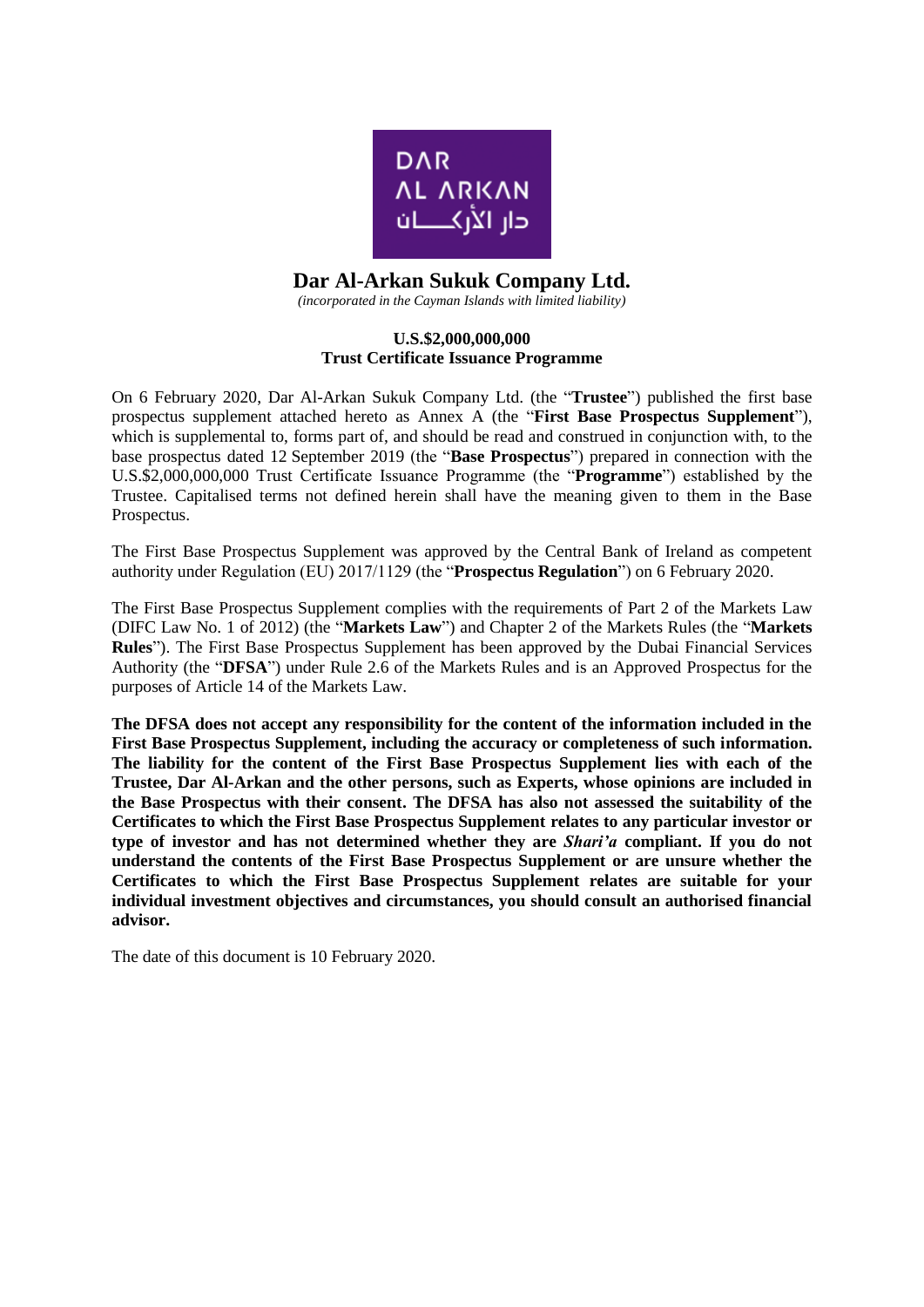

# **Dar Al-Arkan Sukuk Company Ltd.**

*(incorporated in the Cayman Islands with limited liability)*

### **U.S.\$2,000,000,000 Trust Certificate Issuance Programme**

On 6 February 2020, Dar Al-Arkan Sukuk Company Ltd. (the "**Trustee**") published the first base prospectus supplement attached hereto as Annex A (the "**First Base Prospectus Supplement**"), which is supplemental to, forms part of, and should be read and construed in conjunction with, to the base prospectus dated 12 September 2019 (the "**Base Prospectus**") prepared in connection with the U.S.\$2,000,000,000 Trust Certificate Issuance Programme (the "**Programme**") established by the Trustee. Capitalised terms not defined herein shall have the meaning given to them in the Base Prospectus.

The First Base Prospectus Supplement was approved by the Central Bank of Ireland as competent authority under Regulation (EU) 2017/1129 (the "**Prospectus Regulation**") on 6 February 2020.

The First Base Prospectus Supplement complies with the requirements of Part 2 of the Markets Law (DIFC Law No. 1 of 2012) (the "**Markets Law**") and Chapter 2 of the Markets Rules (the "**Markets Rules**"). The First Base Prospectus Supplement has been approved by the Dubai Financial Services Authority (the "**DFSA**") under Rule 2.6 of the Markets Rules and is an Approved Prospectus for the purposes of Article 14 of the Markets Law.

**The DFSA does not accept any responsibility for the content of the information included in the First Base Prospectus Supplement, including the accuracy or completeness of such information. The liability for the content of the First Base Prospectus Supplement lies with each of the Trustee, Dar Al-Arkan and the other persons, such as Experts, whose opinions are included in the Base Prospectus with their consent. The DFSA has also not assessed the suitability of the Certificates to which the First Base Prospectus Supplement relates to any particular investor or type of investor and has not determined whether they are** *Shari'a* **compliant. If you do not understand the contents of the First Base Prospectus Supplement or are unsure whether the Certificates to which the First Base Prospectus Supplement relates are suitable for your individual investment objectives and circumstances, you should consult an authorised financial advisor.**

The date of this document is 10 February 2020.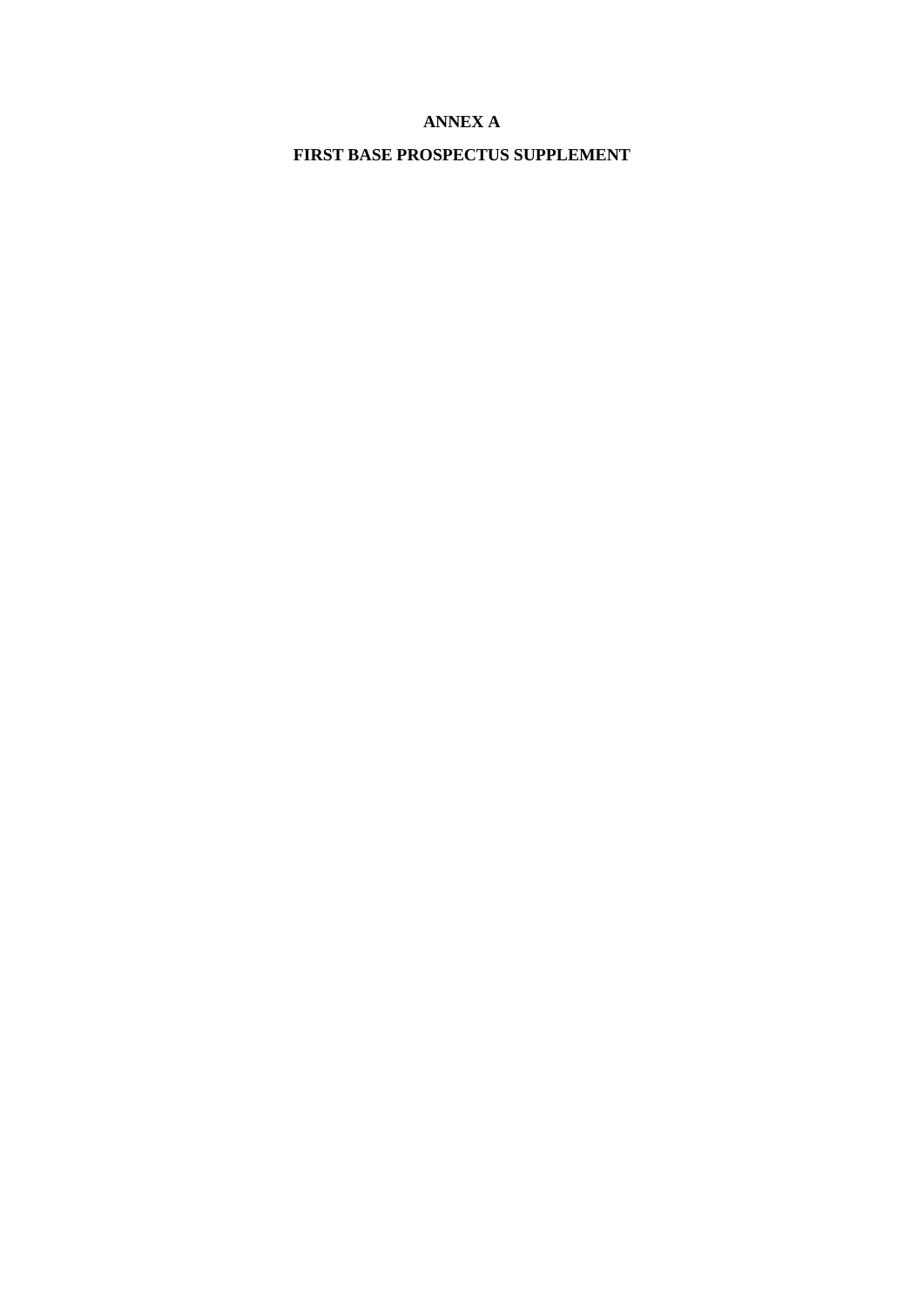## **ANNEX A**

**FIRST BASE PROSPECTUS SUPPLEMENT**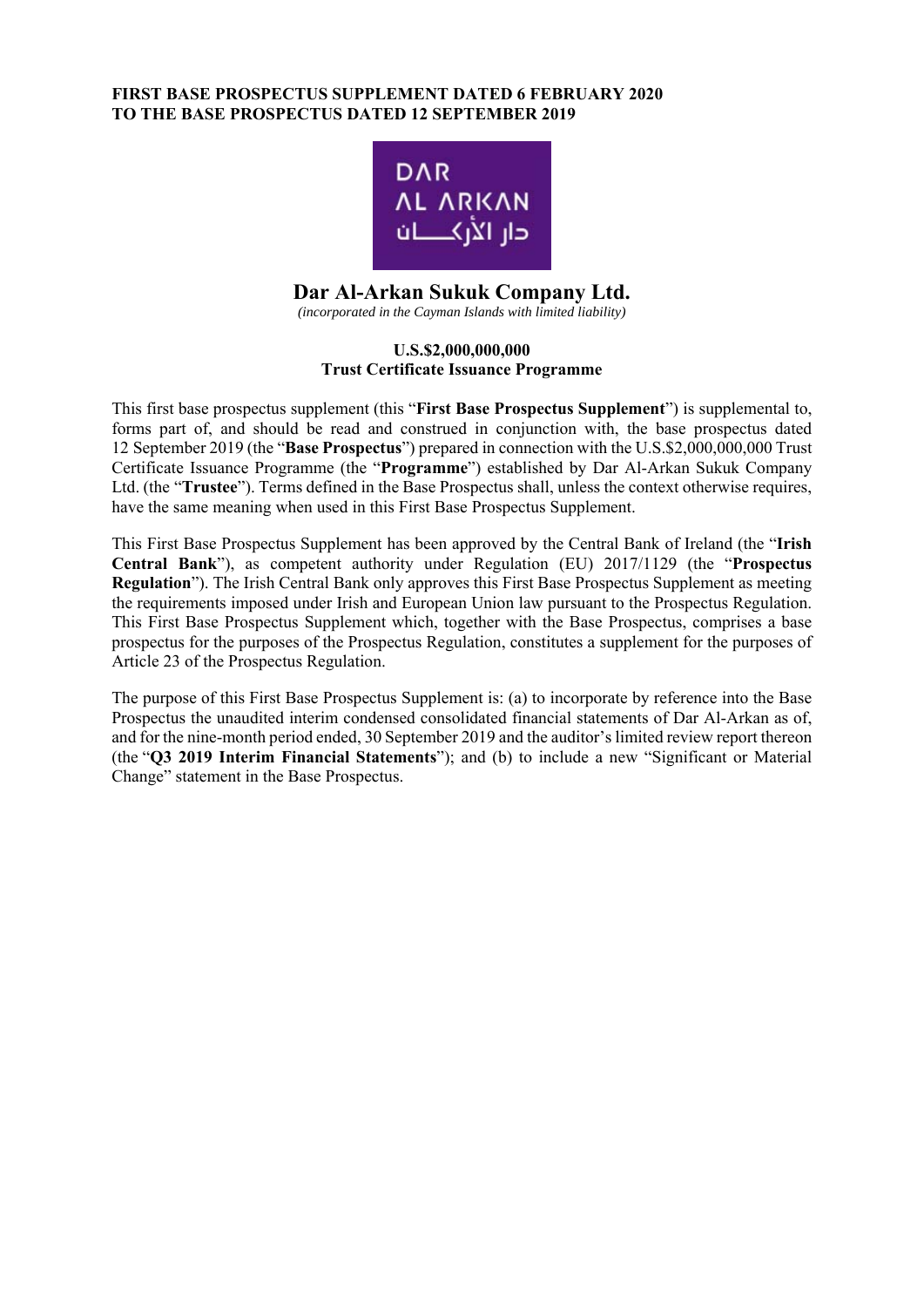### **FIRST BASE PROSPECTUS SUPPLEMENT DATED 6 FEBRUARY 2020 TO THE BASE PROSPECTUS DATED 12 SEPTEMBER 2019**



# **Dar Al-Arkan Sukuk Company Ltd.**

*(incorporated in the Cayman Islands with limited liability)* 

### **U.S.\$2,000,000,000 Trust Certificate Issuance Programme**

This first base prospectus supplement (this "**First Base Prospectus Supplement**") is supplemental to, forms part of, and should be read and construed in conjunction with, the base prospectus dated 12 September 2019 (the "**Base Prospectus**") prepared in connection with the U.S.\$2,000,000,000 Trust Certificate Issuance Programme (the "**Programme**") established by Dar Al-Arkan Sukuk Company Ltd. (the "**Trustee**"). Terms defined in the Base Prospectus shall, unless the context otherwise requires, have the same meaning when used in this First Base Prospectus Supplement.

This First Base Prospectus Supplement has been approved by the Central Bank of Ireland (the "**Irish Central Bank**"), as competent authority under Regulation (EU) 2017/1129 (the "**Prospectus Regulation**"). The Irish Central Bank only approves this First Base Prospectus Supplement as meeting the requirements imposed under Irish and European Union law pursuant to the Prospectus Regulation. This First Base Prospectus Supplement which, together with the Base Prospectus, comprises a base prospectus for the purposes of the Prospectus Regulation, constitutes a supplement for the purposes of Article 23 of the Prospectus Regulation.

The purpose of this First Base Prospectus Supplement is: (a) to incorporate by reference into the Base Prospectus the unaudited interim condensed consolidated financial statements of Dar Al-Arkan as of, and for the nine-month period ended, 30 September 2019 and the auditor's limited review report thereon (the "**Q3 2019 Interim Financial Statements**"); and (b) to include a new "Significant or Material Change" statement in the Base Prospectus.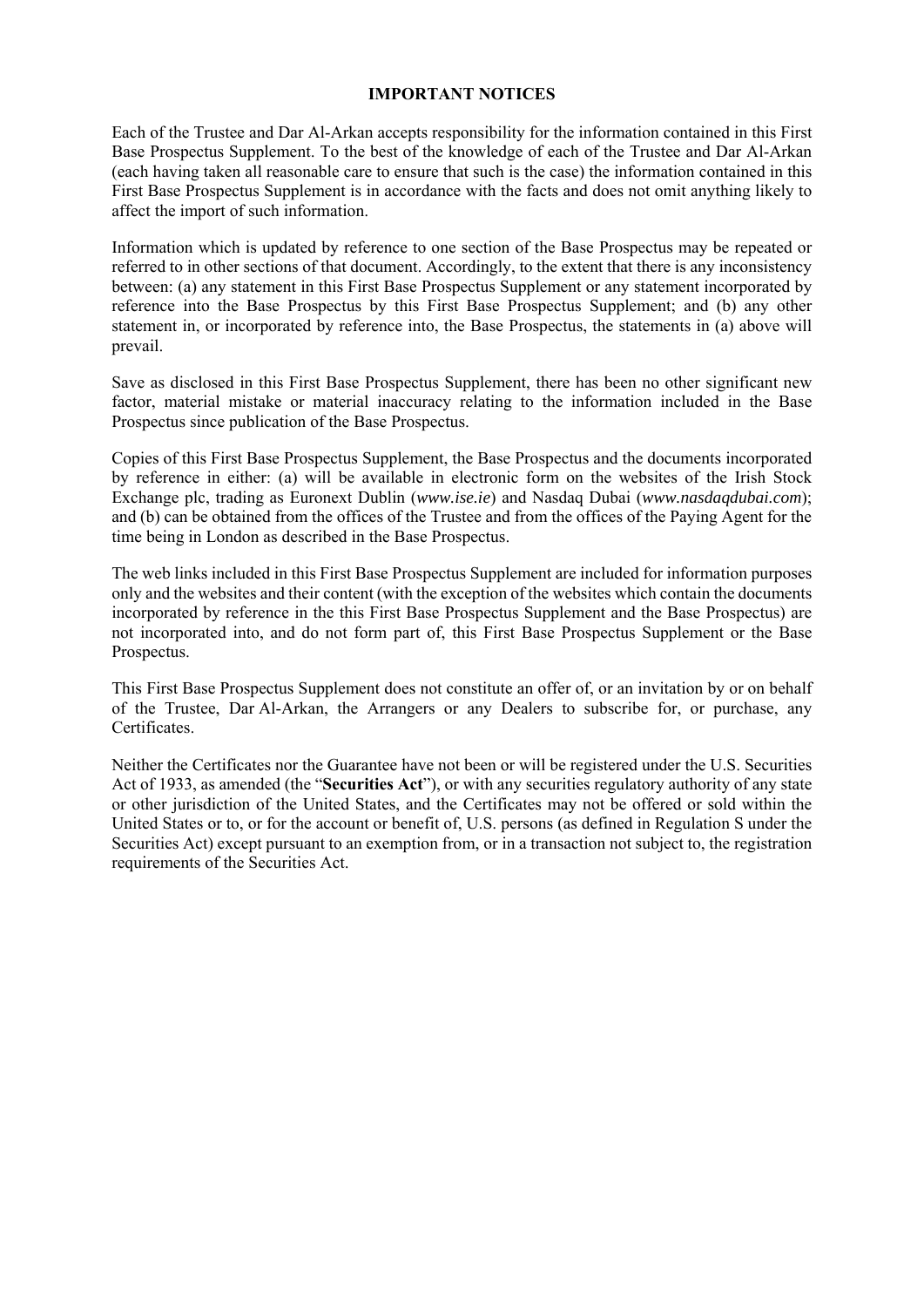#### **IMPORTANT NOTICES**

Each of the Trustee and Dar Al-Arkan accepts responsibility for the information contained in this First Base Prospectus Supplement. To the best of the knowledge of each of the Trustee and Dar Al-Arkan (each having taken all reasonable care to ensure that such is the case) the information contained in this First Base Prospectus Supplement is in accordance with the facts and does not omit anything likely to affect the import of such information.

Information which is updated by reference to one section of the Base Prospectus may be repeated or referred to in other sections of that document. Accordingly, to the extent that there is any inconsistency between: (a) any statement in this First Base Prospectus Supplement or any statement incorporated by reference into the Base Prospectus by this First Base Prospectus Supplement; and (b) any other statement in, or incorporated by reference into, the Base Prospectus, the statements in (a) above will prevail.

Save as disclosed in this First Base Prospectus Supplement, there has been no other significant new factor, material mistake or material inaccuracy relating to the information included in the Base Prospectus since publication of the Base Prospectus.

Copies of this First Base Prospectus Supplement, the Base Prospectus and the documents incorporated by reference in either: (a) will be available in electronic form on the websites of the Irish Stock Exchange plc, trading as Euronext Dublin (*www.ise.ie*) and Nasdaq Dubai (*www.nasdaqdubai.com*); and (b) can be obtained from the offices of the Trustee and from the offices of the Paying Agent for the time being in London as described in the Base Prospectus.

The web links included in this First Base Prospectus Supplement are included for information purposes only and the websites and their content (with the exception of the websites which contain the documents incorporated by reference in the this First Base Prospectus Supplement and the Base Prospectus) are not incorporated into, and do not form part of, this First Base Prospectus Supplement or the Base Prospectus.

This First Base Prospectus Supplement does not constitute an offer of, or an invitation by or on behalf of the Trustee, Dar Al-Arkan, the Arrangers or any Dealers to subscribe for, or purchase, any Certificates.

Neither the Certificates nor the Guarantee have not been or will be registered under the U.S. Securities Act of 1933, as amended (the "**Securities Act**"), or with any securities regulatory authority of any state or other jurisdiction of the United States, and the Certificates may not be offered or sold within the United States or to, or for the account or benefit of, U.S. persons (as defined in Regulation S under the Securities Act) except pursuant to an exemption from, or in a transaction not subject to, the registration requirements of the Securities Act.